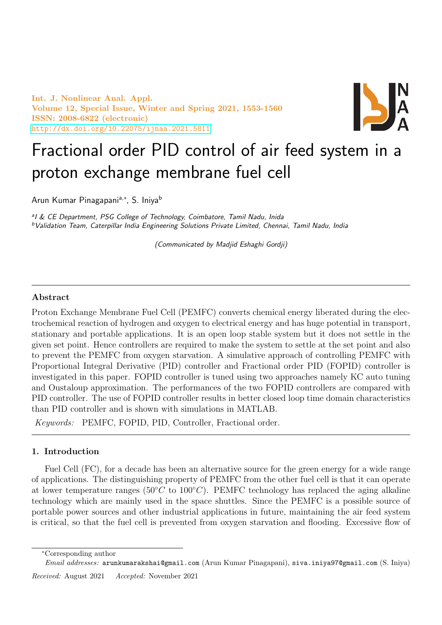Int. J. Nonlinear Anal. Appl. Volume 12, Special Issue, Winter and Spring 2021, 1553-1560 ISSN: 2008-6822 (electronic) <http://dx.doi.org/10.22075/ijnaa.2021.5811>



# Fractional order PID control of air feed system in a proton exchange membrane fuel cell

Arun Kumar Pinagapani<sup>a,∗</sup>, S. Iniya<sup>b</sup>

<sup>a</sup>l & CE Department, PSG College of Technology, Coimbatore, Tamil Nadu, Inida <sup>b</sup>Validation Team, Caterpillar India Engineering Solutions Private Limited, Chennai, Tamil Nadu, India

(Communicated by Madjid Eshaghi Gordji)

# Abstract

Proton Exchange Membrane Fuel Cell (PEMFC) converts chemical energy liberated during the electrochemical reaction of hydrogen and oxygen to electrical energy and has huge potential in transport, stationary and portable applications. It is an open loop stable system but it does not settle in the given set point. Hence controllers are required to make the system to settle at the set point and also to prevent the PEMFC from oxygen starvation. A simulative approach of controlling PEMFC with Proportional Integral Derivative (PID) controller and Fractional order PID (FOPID) controller is investigated in this paper. FOPID controller is tuned using two approaches namely KC auto tuning and Oustaloup approximation. The performances of the two FOPID controllers are compared with PID controller. The use of FOPID controller results in better closed loop time domain characteristics than PID controller and is shown with simulations in MATLAB.

Keywords: PEMFC, FOPID, PID, Controller, Fractional order.

# 1. Introduction

Fuel Cell (FC), for a decade has been an alternative source for the green energy for a wide range of applications. The distinguishing property of PEMFC from the other fuel cell is that it can operate at lower temperature ranges ( $50°C$  to  $100°C$ ). PEMFC technology has replaced the aging alkaline technology which are mainly used in the space shuttles. Since the PEMFC is a possible source of portable power sources and other industrial applications in future, maintaining the air feed system is critical, so that the fuel cell is prevented from oxygen starvation and flooding. Excessive flow of

<sup>∗</sup>Corresponding author

Email addresses: arunkumarakshai@gmail.com (Arun Kumar Pinagapani), siva.iniya97@gmail.com (S. Iniya)

Received: August 2021 Accepted: November 2021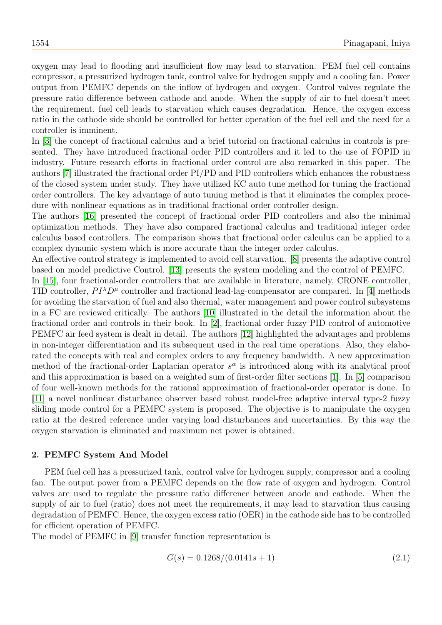oxygen may lead to flooding and insufficient flow may lead to starvation. PEM fuel cell contains compressor, a pressurized hydrogen tank, control valve for hydrogen supply and a cooling fan. Power output from PEMFC depends on the inflow of hydrogen and oxygen. Control valves regulate the pressure ratio difference between cathode and anode. When the supply of air to fuel doesn't meet the requirement, fuel cell leads to starvation which causes degradation. Hence, the oxygen excess ratio in the cathode side should be controlled for better operation of the fuel cell and the need for a controller is imminent.

In [\[3\]](#page-6-0) the concept of fractional calculus and a brief tutorial on fractional calculus in controls is presented. They have introduced fractional order PID controllers and it led to the use of FOPID in industry. Future research efforts in fractional order control are also remarked in this paper. The authors [\[7\]](#page-6-1) illustrated the fractional order PI/PD and PID controllers which enhances the robustness of the closed system under study. They have utilized KC auto tune method for tuning the fractional order controllers. The key advantage of auto tuning method is that it eliminates the complex procedure with nonlinear equations as in traditional fractional order controller design.

The authors [\[16\]](#page-7-0) presented the concept of fractional order PID controllers and also the minimal optimization methods. They have also compared fractional calculus and traditional integer order calculus based controllers. The comparison shows that fractional order calculus can be applied to a complex dynamic system which is more accurate than the integer order calculus.

An effective control strategy is implemented to avoid cell starvation. [\[8\]](#page-6-2) presents the adaptive control based on model predictive Control. [\[13\]](#page-6-3) presents the system modeling and the control of PEMFC.

In [\[15\]](#page-7-1), four fractional-order controllers that are available in literature, namely, CRONE controller, TID controller,  $PI^{\lambda}D^{\mu}$  controller and fractional lead-lag-compensator are compared. In [\[4\]](#page-6-4) methods for avoiding the starvation of fuel and also thermal, water management and power control subsystems in a FC are reviewed critically. The authors [\[10\]](#page-6-5) illustrated in the detail the information about the fractional order and controls in their book. In [\[2\]](#page-6-6), fractional order fuzzy PID control of automotive PEMFC air feed system is dealt in detail. The authors [\[12\]](#page-6-7) highlighted the advantages and problems in non-integer differentiation and its subsequent used in the real time operations. Also, they elaborated the concepts with real and complex orders to any frequency bandwidth. A new approximation method of the fractional-order Laplacian operator  $s^{\alpha}$  is introduced along with its analytical proof and this approximation is based on a weighted sum of first-order filter sections [\[1\]](#page-6-8). In [\[5\]](#page-6-9) comparison of four well-known methods for the rational approximation of fractional-order operator is done. In [\[11\]](#page-6-10) a novel nonlinear disturbance observer based robust model-free adaptive interval type-2 fuzzy sliding mode control for a PEMFC system is proposed. The objective is to manipulate the oxygen ratio at the desired reference under varying load disturbances and uncertainties. By this way the oxygen starvation is eliminated and maximum net power is obtained.

### 2. PEMFC System And Model

PEM fuel cell has a pressurized tank, control valve for hydrogen supply, compressor and a cooling fan. The output power from a PEMFC depends on the flow rate of oxygen and hydrogen. Control valves are used to regulate the pressure ratio difference between anode and cathode. When the supply of air to fuel (ratio) does not meet the requirements, it may lead to starvation thus causing degradation of PEMFC. Hence, the oxygen excess ratio (OER) in the cathode side has to be controlled for efficient operation of PEMFC.

The model of PEMFC in [\[9\]](#page-6-11) transfer function representation is

<span id="page-1-0"></span>
$$
G(s) = 0.1268/(0.0141s + 1)
$$
\n(2.1)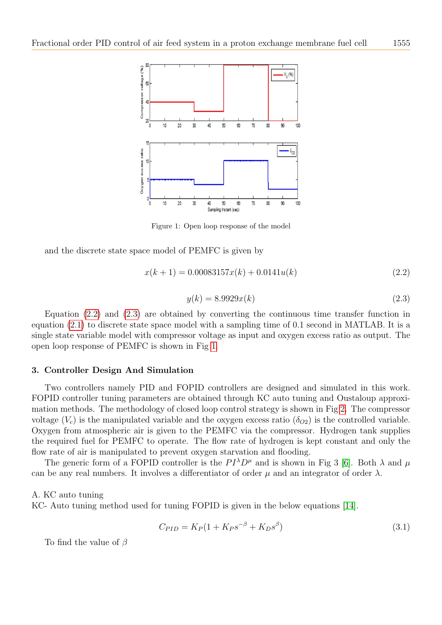

<span id="page-2-2"></span>Figure 1: Open loop response of the model

and the discrete state space model of PEMFC is given by

<span id="page-2-0"></span>
$$
x(k+1) = 0.00083157x(k) + 0.0141u(k)
$$
\n(2.2)

<span id="page-2-1"></span>
$$
y(k) = 8.9929x(k)
$$
\n(2.3)

Equation [\(2.2\)](#page-2-0) and [\(2.3\)](#page-2-1) are obtained by converting the continuous time transfer function in equation [\(2.1\)](#page-1-0) to discrete state space model with a sampling time of 0.1 second in MATLAB. It is a single state variable model with compressor voltage as input and oxygen excess ratio as output. The open loop response of PEMFC is shown in Fig [1.](#page-2-2)

#### 3. Controller Design And Simulation

Two controllers namely PID and FOPID controllers are designed and simulated in this work. FOPID controller tuning parameters are obtained through KC auto tuning and Oustaloup approximation methods. The methodology of closed loop control strategy is shown in Fig [2.](#page-3-0) The compressor voltage  $(V_c)$  is the manipulated variable and the oxygen excess ratio  $(\delta_{O2})$  is the controlled variable. Oxygen from atmospheric air is given to the PEMFC via the compressor. Hydrogen tank supplies the required fuel for PEMFC to operate. The flow rate of hydrogen is kept constant and only the flow rate of air is manipulated to prevent oxygen starvation and flooding.

The generic form of a FOPID controller is the  $PI^{\lambda}D^{\mu}$  and is shown in Fig 3 [\[6\]](#page-6-12). Both  $\lambda$  and  $\mu$ can be any real numbers. It involves a differentiator of order  $\mu$  and an integrator of order  $\lambda$ .

## A. KC auto tuning

KC- Auto tuning method used for tuning FOPID is given in the below equations [\[14\]](#page-7-2).

<span id="page-2-3"></span>
$$
C_{PID} = K_P (1 + K_P s^{-\beta} + K_D s^{\beta})
$$
\n(3.1)

To find the value of  $\beta$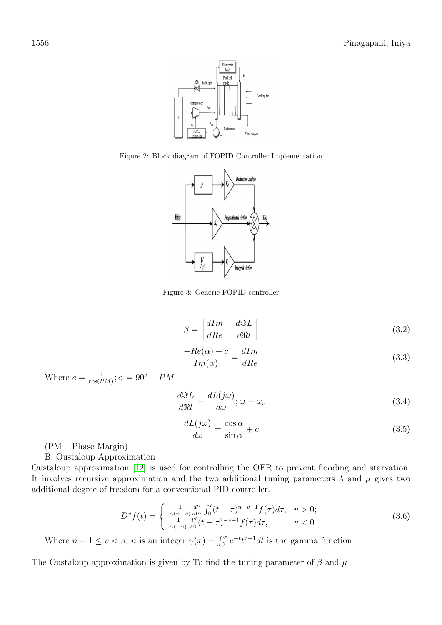

Figure 2: Block diagram of FOPID Controller Implementation

<span id="page-3-0"></span>

Figure 3: Generic FOPID controller

<span id="page-3-1"></span>
$$
\beta = \left\| \frac{dIm}{dRe} - \frac{d\Im L}{d\Re l} \right\| \tag{3.2}
$$

<span id="page-3-2"></span>
$$
\frac{-Re(\alpha) + c}{Im(\alpha)} = \frac{dIm}{dRe}
$$
\n(3.3)

Where  $c = \frac{1}{\cos(B)}$  $\frac{1}{\cos(PM)}$ ;  $\alpha = 90^{\circ} - PM$ 

<span id="page-3-3"></span>
$$
\frac{d\Im L}{d\Re l} = \frac{dL(j\omega)}{d\omega}; \omega = \omega_c \tag{3.4}
$$

<span id="page-3-4"></span>
$$
\frac{dL(j\omega)}{d\omega} = \frac{\cos\alpha}{\sin\alpha} + c \tag{3.5}
$$

(PM – Phase Margin)

B. Oustaloup Approximation

Oustaloup approximation [\[12\]](#page-6-7) is used for controlling the OER to prevent flooding and starvation. It involves recursive approximation and the two additional tuning parameters  $\lambda$  and  $\mu$  gives two additional degree of freedom for a conventional PID controller.

<span id="page-3-5"></span>
$$
D^v f(t) = \begin{cases} \frac{1}{\gamma(n-v)} \frac{d^n}{dt^n} \int_0^t (t-\tau)^{n-v-1} f(\tau) d\tau, & v > 0; \\ \frac{1}{\gamma(-v)} \int_0^t (t-\tau)^{-v-1} f(\tau) d\tau, & v < 0 \end{cases}
$$
(3.6)

Where  $n-1 \le v < n$ ; *n* is an integer  $\gamma(x) = \int_0^\infty e^{-t} t^{x-1} dt$  is the gamma function

The Oustaloup approximation is given by To find the tuning parameter of  $\beta$  and  $\mu$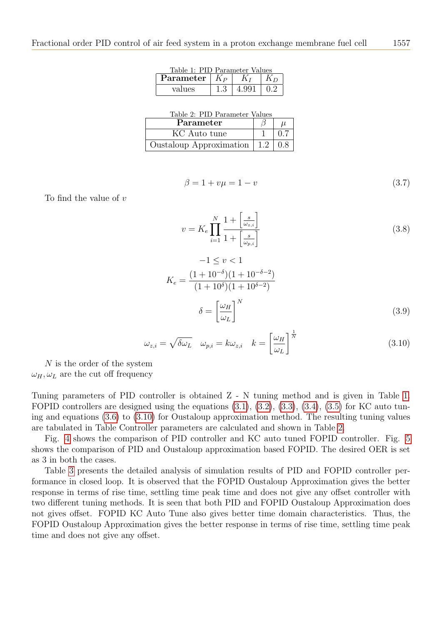<span id="page-4-0"></span>

| Table 1: PID Parameter Values |  |       |         |  |  |
|-------------------------------|--|-------|---------|--|--|
| Parameter $ K_P $             |  | $K_I$ | $K_{D}$ |  |  |
| values                        |  | 4.991 | 0.2     |  |  |

<span id="page-4-2"></span>

|  | Table 2: PID Parameter Values |  |
|--|-------------------------------|--|

| Parameter               |  |
|-------------------------|--|
| KC Auto tune            |  |
| Oustaloup Approximation |  |

$$
\beta = 1 + v\mu = 1 - v \tag{3.7}
$$

To find the value of  $v$ 

$$
v = K_e \prod_{i=1}^{N} \frac{1 + \left[\frac{s}{\omega_{z,i}}\right]}{1 + \left[\frac{s}{\omega_{p,i}}\right]}
$$
(3.8)

$$
-1 \le v < 1
$$
  
\n
$$
K_e = \frac{(1+10^{-\delta})(1+10^{-\delta-2})}{(1+10^{\delta})(1+10^{\delta-2})}
$$
  
\n
$$
\delta = \left[\frac{\omega_H}{\omega_L}\right]^N
$$
\n(3.9)

<span id="page-4-1"></span>
$$
\omega_{z,i} = \sqrt{\delta \omega_L} \quad \omega_{p,i} = k \omega_{z,i} \quad k = \left[\frac{\omega_H}{\omega_L}\right]^{\frac{1}{N}}
$$
(3.10)

N is the order of the system  $\omega_H, \omega_L$  are the cut off frequency

Tuning parameters of PID controller is obtained Z - N tuning method and is given in Table [1.](#page-4-0) FOPID controllers are designed using the equations [\(3.1\)](#page-2-3), [\(3.2\)](#page-3-1), [\(3.3\)](#page-3-2), [\(3.4\)](#page-3-3), [\(3.5\)](#page-3-4) for KC auto tuning and equations [\(3.6\)](#page-3-5) to [\(3.10\)](#page-4-1) for Oustaloup approximation method. The resulting tuning values are tabulated in Table Controller parameters are calculated and shown in Table [2.](#page-4-2)

Fig. [4](#page-5-0) shows the comparison of PID controller and KC auto tuned FOPID controller. Fig. [5](#page-5-1) shows the comparison of PID and Oustaloup approximation based FOPID. The desired OER is set as 3 in both the cases.

Table [3](#page-6-13) presents the detailed analysis of simulation results of PID and FOPID controller performance in closed loop. It is observed that the FOPID Oustaloup Approximation gives the better response in terms of rise time, settling time peak time and does not give any offset controller with two different tuning methods. It is seen that both PID and FOPID Oustaloup Approximation does not gives offset. FOPID KC Auto Tune also gives better time domain characteristics. Thus, the FOPID Oustaloup Approximation gives the better response in terms of rise time, settling time peak time and does not give any offset.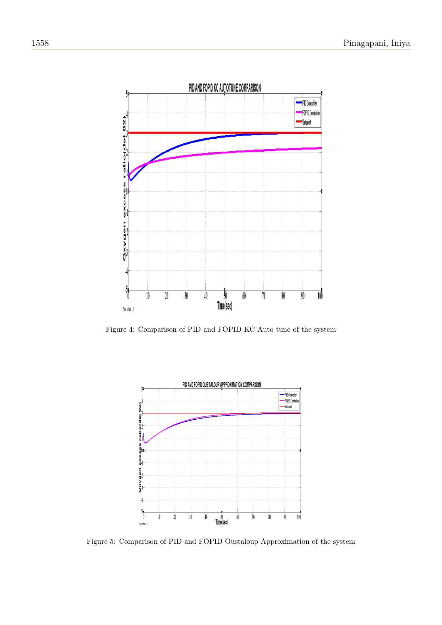

<span id="page-5-0"></span>Figure 4: Comparison of PID and FOPID KC Auto tune of the system



<span id="page-5-1"></span>Figure 5: Comparison of PID and FOPID Oustaloup Approximation of the system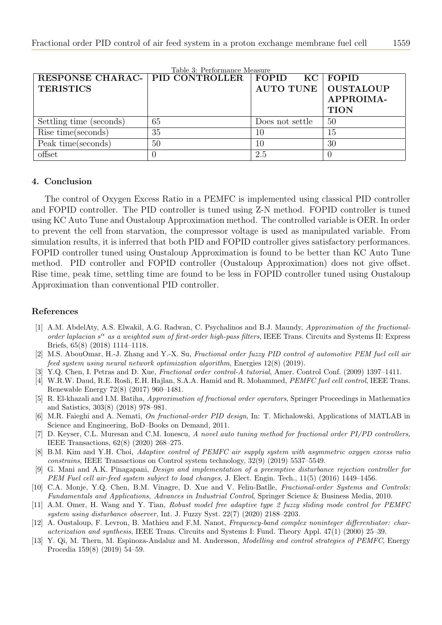| RESPONSE CHARAC-   PID CONTROLLER |          | FOPID KC FOPID               |             |
|-----------------------------------|----------|------------------------------|-------------|
| <b>TERISTICS</b>                  |          | <b>AUTO TUNE   OUSTALOUP</b> |             |
|                                   |          |                              | APPROIMA-   |
|                                   |          |                              | <b>TION</b> |
| Settling time (seconds)           | 65       | Does not settle              | 50          |
| Rise time(seconds)                | 35       | 10                           | 15          |
| Peak time(seconds)                | 50       | 10                           | 30          |
| offset                            | $\theta$ | 2.5                          |             |

<span id="page-6-13"></span>Table 3: Performance Measure

## 4. Conclusion

The control of Oxygen Excess Ratio in a PEMFC is implemented using classical PID controller and FOPID controller. The PID controller is tuned using Z-N method. FOPID controller is tuned using KC Auto Tune and Oustaloup Approximation method. The controlled variable is OER. In order to prevent the cell from starvation, the compressor voltage is used as manipulated variable. From simulation results, it is inferred that both PID and FOPID controller gives satisfactory performances. FOPID controller tuned using Oustaloup Approximation is found to be better than KC Auto Tune method. PID controller and FOPID controller (Oustaloup Approximation) does not give offset. Rise time, peak time, settling time are found to be less in FOPID controller tuned using Oustaloup Approximation than conventional PID controller.

## References

- <span id="page-6-8"></span>[1] A.M. AbdelAty, A.S. Elwakil, A.G. Radwan, C. Psychalinos and B.J. Maundy, Approximation of the fractionalorder laplacian  $s^{\alpha}$  as a weighted sum of first-order high-pass filters, IEEE Trans. Circuits and Systems II: Express Briefs, 65(8) (2018) 1114–1118.
- <span id="page-6-6"></span>[2] M.S. AbouOmar, H.-J. Zhang and Y.-X. Su, Fractional order fuzzy PID control of automotive PEM fuel cell air feed system using neural network optimization algorithm, Energies 12(8) (2019).
- <span id="page-6-0"></span>[3] Y.Q. Chen, I. Petras and D. Xue, Fractional order control-A tutorial, Amer. Control Conf. (2009) 1397–1411.
- <span id="page-6-4"></span>[4] W.R.W. Daud, R.E. Rosli, E.H. Hajlan, S.A.A. Hamid and R. Mohammed, *PEMFC fuel cell control*, IEEE Trans. Renewable Energy 72(8) (2017) 960–1481.
- <span id="page-6-9"></span>[5] R. El-khazali and I.M. Batiha, Approximation of fractional order operators, Springer Proceedings in Mathematics and Satistics, 303(8) (2018) 978–981.
- <span id="page-6-12"></span>[6] M.R. Faieghi and A. Nemati, On fractional-order PID design, In: T. Michalowski, Applications of MATLAB in Science and Engineering, BoD–Books on Demand, 2011.
- <span id="page-6-1"></span>[7] D. Keyser, C.L. Muresan and C.M. Ionescu, A novel auto tuning method for fractional order PI/PD controllers, IEEE Transactions, 62(8) (2020) 268–275.
- <span id="page-6-2"></span>[8] B.M. Kim and Y.H. Choi, Adaptive control of PEMFC air supply system with asymmetric oxygen excess ratio constrains, IEEE Transactions on Control system technology, 32(9) (2019) 5537–5549.
- <span id="page-6-11"></span>[9] G. Mani and A.K. Pinagapani, Design and implementation of a preemptive disturbance rejection controller for PEM Fuel cell air-feed system subject to load changes, J. Elect. Engin. Tech., 11(5) (2016) 1449–1456.
- <span id="page-6-5"></span>[10] C.A. Monje, Y.Q. Chen, B.M. Vinagre, D. Xue and V. Feliu-Batlle, Fractional-order Systems and Controls: Fundamentals and Applications, Advances in Industrial Control, Springer Science & Business Media, 2010.
- <span id="page-6-10"></span>[11] A.M. Omer, H. Wang and Y. Tian, Robust model free adaptive type 2 fuzzy sliding mode control for PEMFC system using disturbance observer, Int. J. Fuzzy Syst. 22(7) (2020) 2188–2203.
- <span id="page-6-7"></span>[12] A. Oustaloup, F. Levron, B. Mathieu and F.M. Nanot, Frequency-band complex noninteger differentiator: characterization and synthesis, IEEE Trans. Circuits and Systems I: Fund. Theory Appl. 47(1) (2000) 25–39.
- <span id="page-6-3"></span>[13] Y. Qi, M. Thern, M. Espinoza-Andaluz and M. Andersson, Modelling and control strategies of PEMFC, Energy Procedia 159(8) (2019) 54–59.